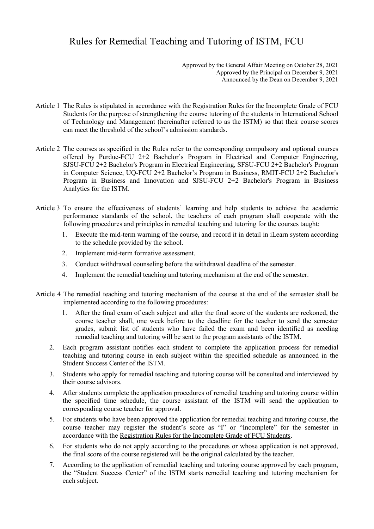## Rules for Remedial Teaching and Tutoring of ISTM, FCU

Approved by the General Affair Meeting on October 28, 2021 Approved by the Principal on December 9, 2021 Announced by the Dean on December 9, 2021

- Article 1 The Rules is stipulated in accordance with the Registration Rules for the Incomplete Grade of FCU Students for the purpose of strengthening the course tutoring of the students in International School of Technology and Management (hereinafter referred to as the ISTM) so that their course scores can meet the threshold of the school's admission standards.
- Article 2 The courses as specified in the Rules refer to the corresponding compulsory and optional courses offered by Purdue-FCU 2+2 Bachelor's Program in Electrical and Computer Engineering, SJSU-FCU 2+2 Bachelor's Program in Electrical Engineering, SFSU-FCU 2+2 Bachelor's Program in Computer Science, UQ-FCU 2+2 Bachelor's Program in Business, RMIT-FCU 2+2 Bachelor's Program in Business and Innovation and SJSU-FCU 2+2 Bachelor's Program in Business Analytics for the ISTM.
- Article 3 To ensure the effectiveness of students' learning and help students to achieve the academic performance standards of the school, the teachers of each program shall cooperate with the following procedures and principles in remedial teaching and tutoring for the courses taught:
	- 1. Execute the mid-term warning of the course, and record it in detail in iLearn system according to the schedule provided by the school.
	- 2. Implement mid-term formative assessment.
	- 3. Conduct withdrawal counseling before the withdrawal deadline of the semester.
	- 4. Implement the remedial teaching and tutoring mechanism at the end of the semester.
- Article 4 The remedial teaching and tutoring mechanism of the course at the end of the semester shall be implemented according to the following procedures:
	- 1. After the final exam of each subject and after the final score of the students are reckoned, the course teacher shall, one week before to the deadline for the teacher to send the semester grades, submit list of students who have failed the exam and been identified as needing remedial teaching and tutoring will be sent to the program assistants of the ISTM.
	- 2. Each program assistant notifies each student to complete the application process for remedial teaching and tutoring course in each subject within the specified schedule as announced in the Student Success Center of the ISTM.
	- 3. Students who apply for remedial teaching and tutoring course will be consulted and interviewed by their course advisors.
	- 4. After students complete the application procedures of remedial teaching and tutoring course within the specified time schedule, the course assistant of the ISTM will send the application to corresponding course teacher for approval.
	- 5. For students who have been approved the application for remedial teaching and tutoring course, the course teacher may register the student's score as "I" or "Incomplete" for the semester in accordance with the Registration Rules for the Incomplete Grade of FCU Students.
	- 6. For students who do not apply according to the procedures or whose application is not approved, the final score of the course registered will be the original calculated by the teacher.
	- 7. According to the application of remedial teaching and tutoring course approved by each program, the "Student Success Center" of the ISTM starts remedial teaching and tutoring mechanism for each subject.